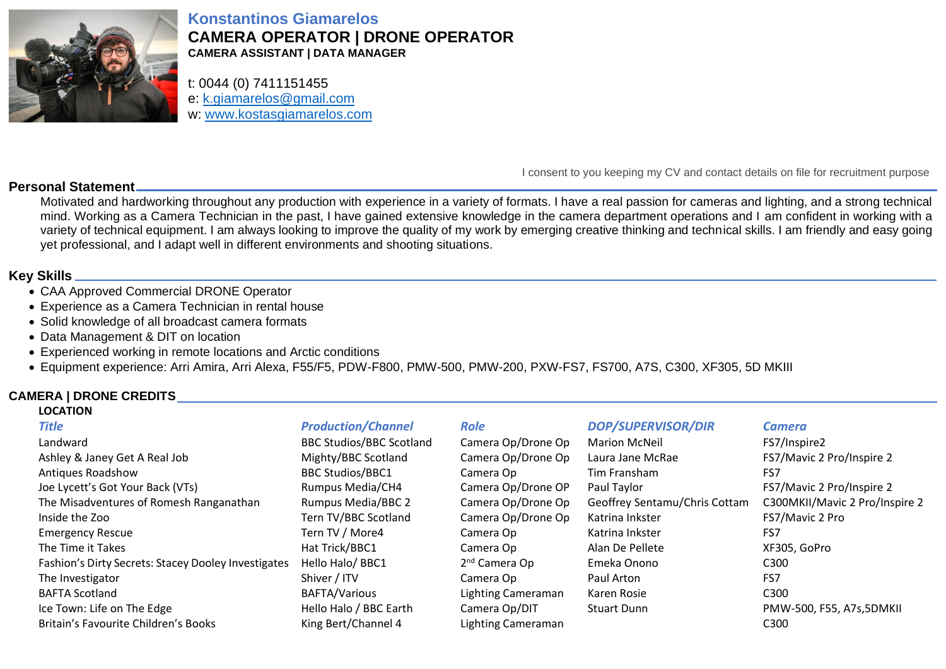

# **Konstantinos Giamarelos CAMERA OPERATOR | DRONE OPERATOR CAMERA ASSISTANT | DATA MANAGER**

t: 0044 (0) 7411151455 e: [k.giamarelos@gmail.com](mailto:k.giamarelos@gmail.com) w: [www.kostasgiamarelos.com](http://www.kostasgiamarelos.com/)

I consent to you keeping my CV and contact details on file for recruitment purpose

# **Personal Statement**

Motivated and hardworking throughout any production with experience in a variety of formats. I have a real passion for cameras and lighting, and a strong technical mind. Working as a Camera Technician in the past, I have gained extensive knowledge in the camera department operations and I am confident in working with a variety of technical equipment. I am always looking to improve the quality of my work by emerging creative thinking and technical skills. I am friendly and easy going yet professional, and I adapt well in different environments and shooting situations.

# **Key Skills**

- CAA Approved Commercial DRONE Operator
- Experience as a Camera Technician in rental house
- Solid knowledge of all broadcast camera formats
- Data Management & DIT on location
- Experienced working in remote locations and Arctic conditions
- Equipment experience: Arri Amira, Arri Alexa, F55/F5, PDW-F800, PMW-500, PMW-200, PXW-FS7, FS700, A7S, C300, XF305, 5D MKIII

## **CAMERA | DRONE CREDITS**

# **LOCATION**

| <b>Title</b>                                        | <b>Production/Channel</b>       | <b>Role</b>               | <b>DOP/SUPERVISOR/DIR</b>     | <b>Camera</b>                  |
|-----------------------------------------------------|---------------------------------|---------------------------|-------------------------------|--------------------------------|
| Landward                                            | <b>BBC Studios/BBC Scotland</b> | Camera Op/Drone Op        | <b>Marion McNeil</b>          | FS7/Inspire2                   |
| Ashley & Janey Get A Real Job                       | Mighty/BBC Scotland             | Camera Op/Drone Op        | Laura Jane McRae              | FS7/Mavic 2 Pro/Inspire 2      |
| <b>Antiques Roadshow</b>                            | <b>BBC Studios/BBC1</b>         | Camera Op                 | Tim Fransham                  | FS7                            |
| Joe Lycett's Got Your Back (VTs)                    | <b>Rumpus Media/CH4</b>         | Camera Op/Drone OP        | Paul Taylor                   | FS7/Mavic 2 Pro/Inspire 2      |
| The Misadventures of Romesh Ranganathan             | <b>Rumpus Media/BBC 2</b>       | Camera Op/Drone Op        | Geoffrey Sentamu/Chris Cottam | C300MKII/Mavic 2 Pro/Inspire 2 |
| Inside the Zoo                                      | Tern TV/BBC Scotland            | Camera Op/Drone Op        | Katrina Inkster               | FS7/Mavic 2 Pro                |
| <b>Emergency Rescue</b>                             | Tern TV / More4                 | Camera Op                 | Katrina Inkster               | FS7                            |
| The Time it Takes                                   | Hat Trick/BBC1                  | Camera Op                 | Alan De Pellete               | XF305, GoPro                   |
| Fashion's Dirty Secrets: Stacey Dooley Investigates | Hello Halo/ BBC1                | 2 <sup>nd</sup> Camera Op | Emeka Onono                   | C <sub>3</sub> 00              |
| The Investigator                                    | Shiver / ITV                    | Camera Op                 | Paul Arton                    | FS7                            |
| <b>BAFTA Scotland</b>                               | <b>BAFTA/Various</b>            | Lighting Cameraman        | Karen Rosie                   | C300                           |
| Ice Town: Life on The Edge                          | Hello Halo / BBC Earth          | Camera Op/DIT             | <b>Stuart Dunn</b>            | PMW-500, F55, A7s, 5DMKII      |
| Britain's Favourite Children's Books                | King Bert/Channel 4             | Lighting Cameraman        |                               | C <sub>3</sub> 00              |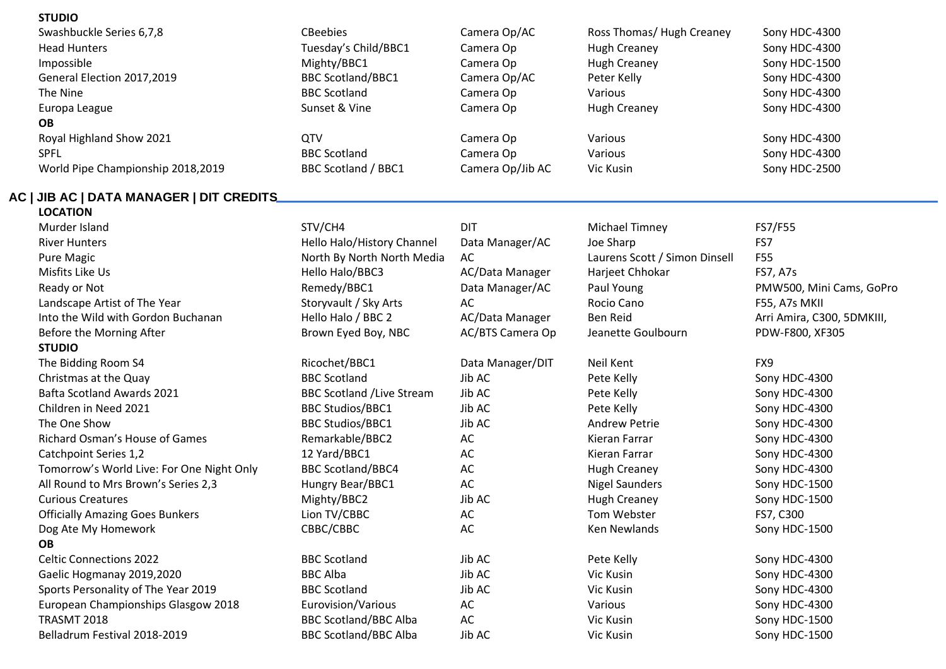| <b>STUDIO</b>                             |                                   |                  |                               |                            |
|-------------------------------------------|-----------------------------------|------------------|-------------------------------|----------------------------|
| Swashbuckle Series 6,7,8                  | <b>CBeebies</b>                   | Camera Op/AC     | Ross Thomas/ Hugh Creaney     | Sony HDC-4300              |
| <b>Head Hunters</b>                       | Tuesday's Child/BBC1              | Camera Op        | <b>Hugh Creaney</b>           | Sony HDC-4300              |
| Impossible                                | Mighty/BBC1                       | Camera Op        | <b>Hugh Creaney</b>           | Sony HDC-1500              |
| General Election 2017,2019                | <b>BBC Scotland/BBC1</b>          | Camera Op/AC     | Peter Kelly                   | Sony HDC-4300              |
| The Nine                                  | <b>BBC Scotland</b>               | Camera Op        | Various                       | Sony HDC-4300              |
| Europa League                             | Sunset & Vine                     | Camera Op        | <b>Hugh Creaney</b>           | Sony HDC-4300              |
| <b>OB</b>                                 |                                   |                  |                               |                            |
| Royal Highland Show 2021                  | QTV                               | Camera Op        | Various                       | Sony HDC-4300              |
| <b>SPFL</b>                               | <b>BBC Scotland</b>               | Camera Op        | Various                       | Sony HDC-4300              |
| World Pipe Championship 2018,2019         | <b>BBC Scotland / BBC1</b>        | Camera Op/Jib AC | Vic Kusin                     | Sony HDC-2500              |
| AC   JIB AC   DATA MANAGER   DIT CREDITS_ |                                   |                  |                               |                            |
| <b>LOCATION</b>                           |                                   |                  |                               |                            |
| Murder Island                             | STV/CH4                           | <b>DIT</b>       | Michael Timney                | <b>FS7/F55</b>             |
| <b>River Hunters</b>                      | Hello Halo/History Channel        | Data Manager/AC  | Joe Sharp                     | FS7                        |
| Pure Magic                                | North By North North Media        | AC               | Laurens Scott / Simon Dinsell | F55                        |
| Misfits Like Us                           | Hello Halo/BBC3                   | AC/Data Manager  | Harjeet Chhokar               | FS7, A7s                   |
| Ready or Not                              | Remedy/BBC1                       | Data Manager/AC  | Paul Young                    | PMW500, Mini Cams, GoPro   |
| Landscape Artist of The Year              | Storyvault / Sky Arts             | AC               | Rocio Cano                    | F55, A7s MKII              |
| Into the Wild with Gordon Buchanan        | Hello Halo / BBC 2                | AC/Data Manager  | Ben Reid                      | Arri Amira, C300, 5DMKIII, |
| Before the Morning After                  | Brown Eyed Boy, NBC               | AC/BTS Camera Op | Jeanette Goulbourn            | PDW-F800, XF305            |
| <b>STUDIO</b>                             |                                   |                  |                               |                            |
| The Bidding Room S4                       | Ricochet/BBC1                     | Data Manager/DIT | Neil Kent                     | FX9                        |
| Christmas at the Quay                     | <b>BBC Scotland</b>               | Jib AC           | Pete Kelly                    | Sony HDC-4300              |
| Bafta Scotland Awards 2021                | <b>BBC Scotland / Live Stream</b> | Jib AC           | Pete Kelly                    | Sony HDC-4300              |
| Children in Need 2021                     | <b>BBC Studios/BBC1</b>           | Jib AC           | Pete Kelly                    | Sony HDC-4300              |
| The One Show                              | <b>BBC Studios/BBC1</b>           | Jib AC           | <b>Andrew Petrie</b>          | Sony HDC-4300              |
| Richard Osman's House of Games            | Remarkable/BBC2                   | AC               | Kieran Farrar                 | Sony HDC-4300              |
| Catchpoint Series 1,2                     | 12 Yard/BBC1                      | AC               | Kieran Farrar                 | Sony HDC-4300              |
| Tomorrow's World Live: For One Night Only | <b>BBC Scotland/BBC4</b>          | AC               | <b>Hugh Creaney</b>           | Sony HDC-4300              |
| All Round to Mrs Brown's Series 2,3       | Hungry Bear/BBC1                  | AC               | <b>Nigel Saunders</b>         | Sony HDC-1500              |
| <b>Curious Creatures</b>                  | Mighty/BBC2                       | Jib AC           | <b>Hugh Creaney</b>           | Sony HDC-1500              |
| <b>Officially Amazing Goes Bunkers</b>    | Lion TV/CBBC                      | AC               | Tom Webster                   | FS7, C300                  |
| Dog Ate My Homework                       | CBBC/CBBC                         | AC               | Ken Newlands                  | Sony HDC-1500              |
| <b>OB</b>                                 |                                   |                  |                               |                            |
| <b>Celtic Connections 2022</b>            | <b>BBC Scotland</b>               | Jib AC           | Pete Kelly                    | Sony HDC-4300              |
| Gaelic Hogmanay 2019,2020                 | <b>BBC Alba</b>                   | Jib AC           | Vic Kusin                     | Sony HDC-4300              |
| Sports Personality of The Year 2019       | <b>BBC Scotland</b>               | Jib AC           | Vic Kusin                     | Sony HDC-4300              |
| European Championships Glasgow 2018       | Eurovision/Various                | AC               | Various                       | Sony HDC-4300              |
| <b>TRASMT 2018</b>                        | <b>BBC Scotland/BBC Alba</b>      | AC               | Vic Kusin                     | Sony HDC-1500              |
| Belladrum Festival 2018-2019              | <b>BBC Scotland/BBC Alba</b>      | Jib AC           | Vic Kusin                     | Sony HDC-1500              |